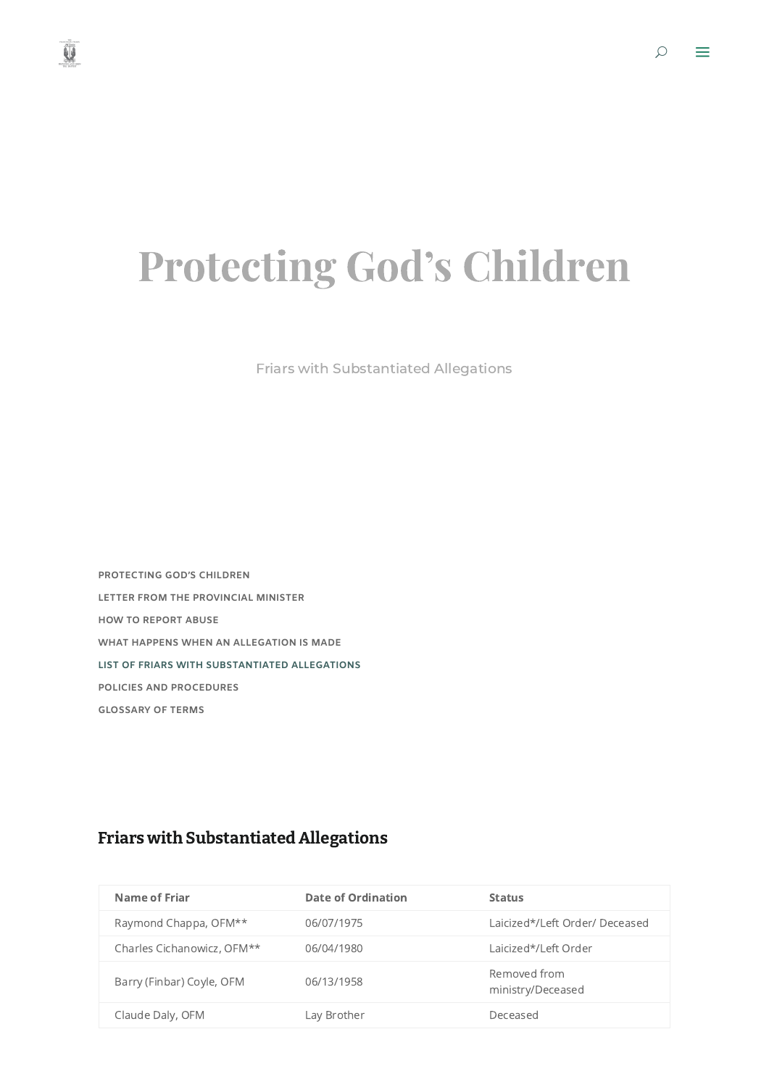$\circ$   $\equiv$ 

## Protecting God's Children

Friars with Substantiated Allegations

**[PROTECTING](https://www.franciscan.org/protecting-gods-children/) GOD'S CHILDREN LETTER FROM THE [PROVINCIAL](https://www.franciscan.org/protecting-gods-children/letter-from-provincial/) MINISTER HOW TO [REPORT](https://www.franciscan.org/protecting-gods-children/report-abuse/) ABUSE WHAT HAPPENS WHEN AN [ALLEGATION](https://www.franciscan.org/protecting-gods-children/when-an-allegation-is-made/) IS MADE LIST OF FRIARS WITH [SUBSTANTIATED](https://www.franciscan.org/protecting-gods-children/substantiated-allegations/) ALLEGATIONS POLICIES AND [PROCEDURES](https://www.franciscan.org/protecting-gods-children/policies-and-procedures/) [GLOSSARY](https://www.franciscan.org/protecting-gods-children/glossary/) OF TERMS**

| <b>Name of Friar</b>       | <b>Date of Ordination</b> | <b>Status</b>                     |
|----------------------------|---------------------------|-----------------------------------|
| Raymond Chappa, OFM**      | 06/07/1975                | Laicized*/Left Order/ Deceased    |
| Charles Cichanowicz, OFM** | 06/04/1980                | Laicized*/Left Order              |
| Barry (Finbar) Coyle, OFM  | 06/13/1958                | Removed from<br>ministry/Deceased |
| Claude Daly, OFM           | Lay Brother               | Deceased                          |

## Friars with Substantiated Allegations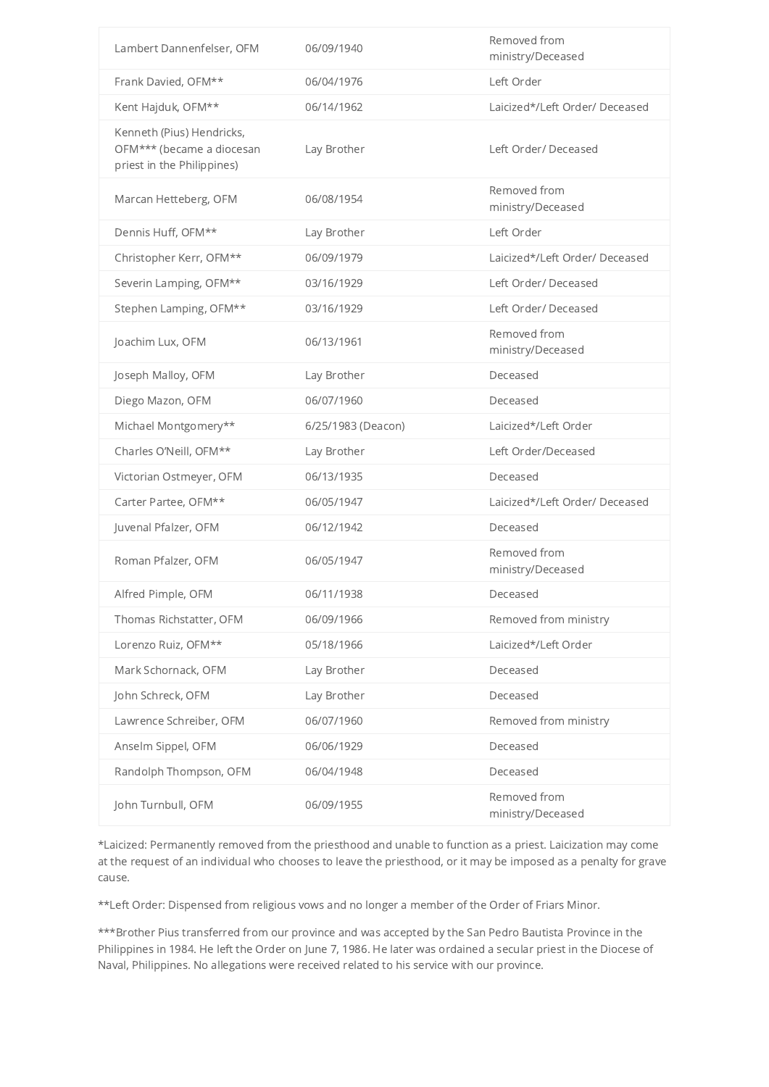| Lambert Dannenfelser, OFM                                                            | 06/09/1940         | Removed from<br>ministry/Deceased |
|--------------------------------------------------------------------------------------|--------------------|-----------------------------------|
| Frank Davied, OFM**                                                                  | 06/04/1976         | Left Order                        |
| Kent Hajduk, OFM**                                                                   | 06/14/1962         | Laicized*/Left Order/ Deceased    |
| Kenneth (Pius) Hendricks,<br>OFM*** (became a diocesan<br>priest in the Philippines) | Lay Brother        | Left Order/ Deceased              |
| Marcan Hetteberg, OFM                                                                | 06/08/1954         | Removed from<br>ministry/Deceased |
| Dennis Huff, OFM**                                                                   | Lay Brother        | Left Order                        |
| Christopher Kerr, OFM**                                                              | 06/09/1979         | Laicized*/Left Order/ Deceased    |
| Severin Lamping, OFM**                                                               | 03/16/1929         | Left Order/ Deceased              |
| Stephen Lamping, OFM**                                                               | 03/16/1929         | Left Order/ Deceased              |
| Joachim Lux, OFM                                                                     | 06/13/1961         | Removed from<br>ministry/Deceased |
| Joseph Malloy, OFM                                                                   | Lay Brother        | Deceased                          |
| Diego Mazon, OFM                                                                     | 06/07/1960         | Deceased                          |
| Michael Montgomery**                                                                 | 6/25/1983 (Deacon) | Laicized*/Left Order              |
| Charles O'Neill, OFM**                                                               | Lay Brother        | Left Order/Deceased               |
| Victorian Ostmeyer, OFM                                                              | 06/13/1935         | Deceased                          |
| Carter Partee, OFM**                                                                 | 06/05/1947         | Laicized*/Left Order/ Deceased    |
| Juvenal Pfalzer, OFM                                                                 | 06/12/1942         | Deceased                          |
| Roman Pfalzer, OFM                                                                   | 06/05/1947         | Removed from<br>ministry/Deceased |
| Alfred Pimple, OFM                                                                   | 06/11/1938         | Deceased                          |
| Thomas Richstatter, OFM                                                              | 06/09/1966         | Removed from ministry             |
| Lorenzo Ruiz, OFM**                                                                  | 05/18/1966         | Laicized*/Left Order              |
| Mark Schornack, OFM                                                                  | Lay Brother        | Deceased                          |
| John Schreck, OFM                                                                    | Lay Brother        | Deceased                          |
| Lawrence Schreiber, OFM                                                              | 06/07/1960         | Removed from ministry             |
| Anselm Sippel, OFM                                                                   | 06/06/1929         | Deceased                          |
| Randolph Thompson, OFM                                                               | 06/04/1948         | Deceased                          |
| John Turnbull, OFM                                                                   | 06/09/1955         | Removed from<br>ministry/Deceased |

\*Laicized: Permanently removed from the priesthood and unable to function as a priest. Laicization may come at the request of an individual who chooses to leave the priesthood, or it may be imposed as a penalty for grave cause.

\*\*Left Order: Dispensed from religious vows and no longer a member of the Order of Friars Minor.

\*\*\*Brother Pius transferred from our province and was accepted by the San Pedro Bautista Province in the Philippines in 1984. He left the Order on June 7, 1986. He later was ordained a secular priest in the Diocese of Naval, Philippines. No allegations were received related to his service with our province.